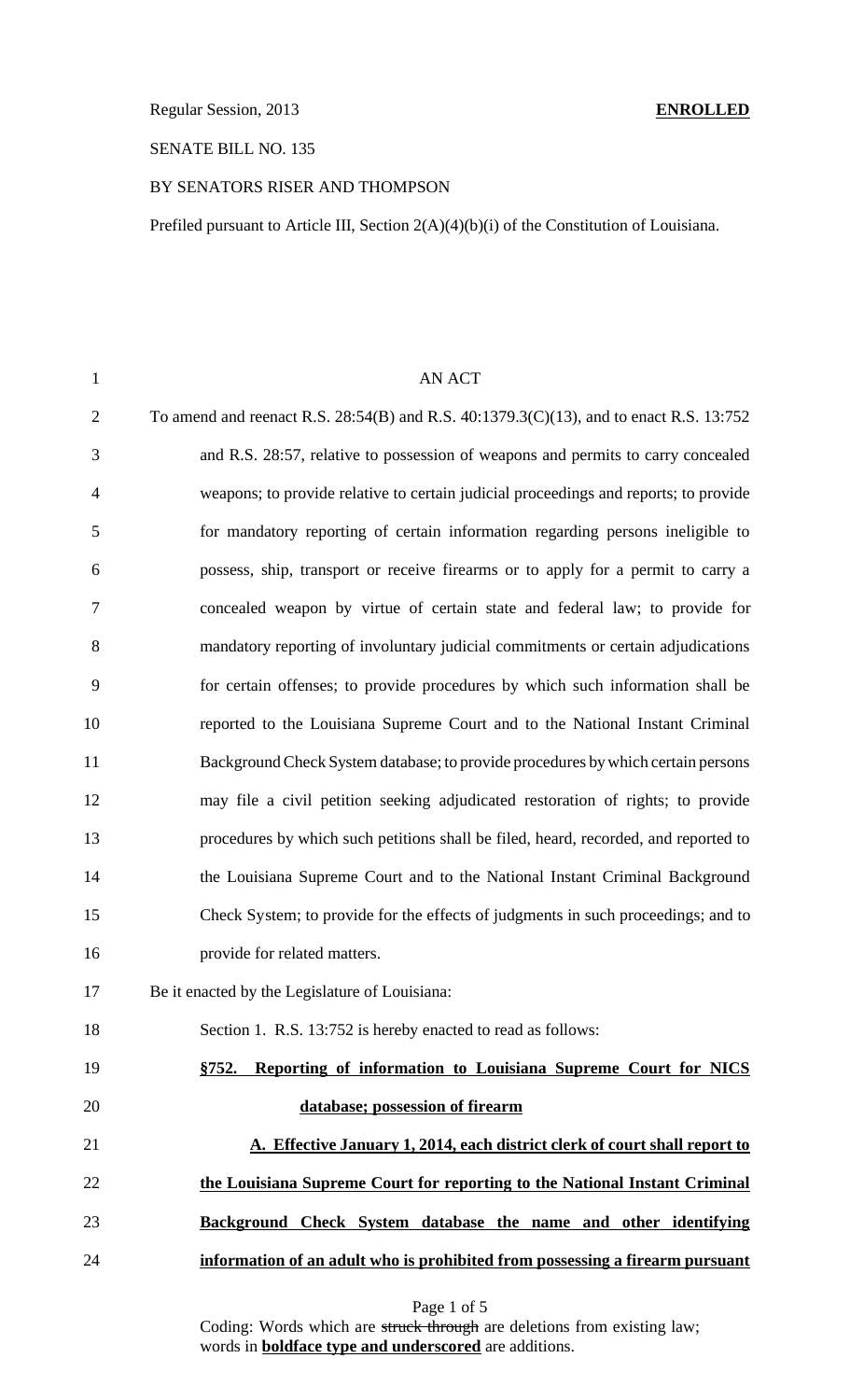Regular Session, 2013 **ENROLLED**

## SENATE BILL NO. 135

### BY SENATORS RISER AND THOMPSON

Prefiled pursuant to Article III, Section 2(A)(4)(b)(i) of the Constitution of Louisiana.

| $\mathbf{1}$   | <b>AN ACT</b>                                                                          |
|----------------|----------------------------------------------------------------------------------------|
| $\overline{c}$ | To amend and reenact R.S. 28:54(B) and R.S. 40:1379.3(C)(13), and to enact R.S. 13:752 |
| 3              | and R.S. 28:57, relative to possession of weapons and permits to carry concealed       |
| 4              | weapons; to provide relative to certain judicial proceedings and reports; to provide   |
| 5              | for mandatory reporting of certain information regarding persons ineligible to         |
| 6              | possess, ship, transport or receive firearms or to apply for a permit to carry a       |
| 7              | concealed weapon by virtue of certain state and federal law; to provide for            |
| 8              | mandatory reporting of involuntary judicial commitments or certain adjudications       |
| 9              | for certain offenses; to provide procedures by which such information shall be         |
| 10             | reported to the Louisiana Supreme Court and to the National Instant Criminal           |
| 11             | Background Check System database; to provide procedures by which certain persons       |
| 12             | may file a civil petition seeking adjudicated restoration of rights; to provide        |
| 13             | procedures by which such petitions shall be filed, heard, recorded, and reported to    |
| 14             | the Louisiana Supreme Court and to the National Instant Criminal Background            |
| 15             | Check System; to provide for the effects of judgments in such proceedings; and to      |
| 16             | provide for related matters.                                                           |
| 17             | Be it enacted by the Legislature of Louisiana:                                         |
| 18             | Section 1. R.S. 13:752 is hereby enacted to read as follows:                           |
| 19             | §752. Reporting of information to Louisiana Supreme Court for NICS                     |
| 20             | database; possession of firearm                                                        |
| 21             | A. Effective January 1, 2014, each district clerk of court shall report to             |
| 22             | the Louisiana Supreme Court for reporting to the National Instant Criminal             |
| 23             | Background Check System database the name and other identifying                        |
| 24             | information of an adult who is prohibited from possessing a firearm pursuant           |

Coding: Words which are struck through are deletions from existing law; words in **boldface type and underscored** are additions.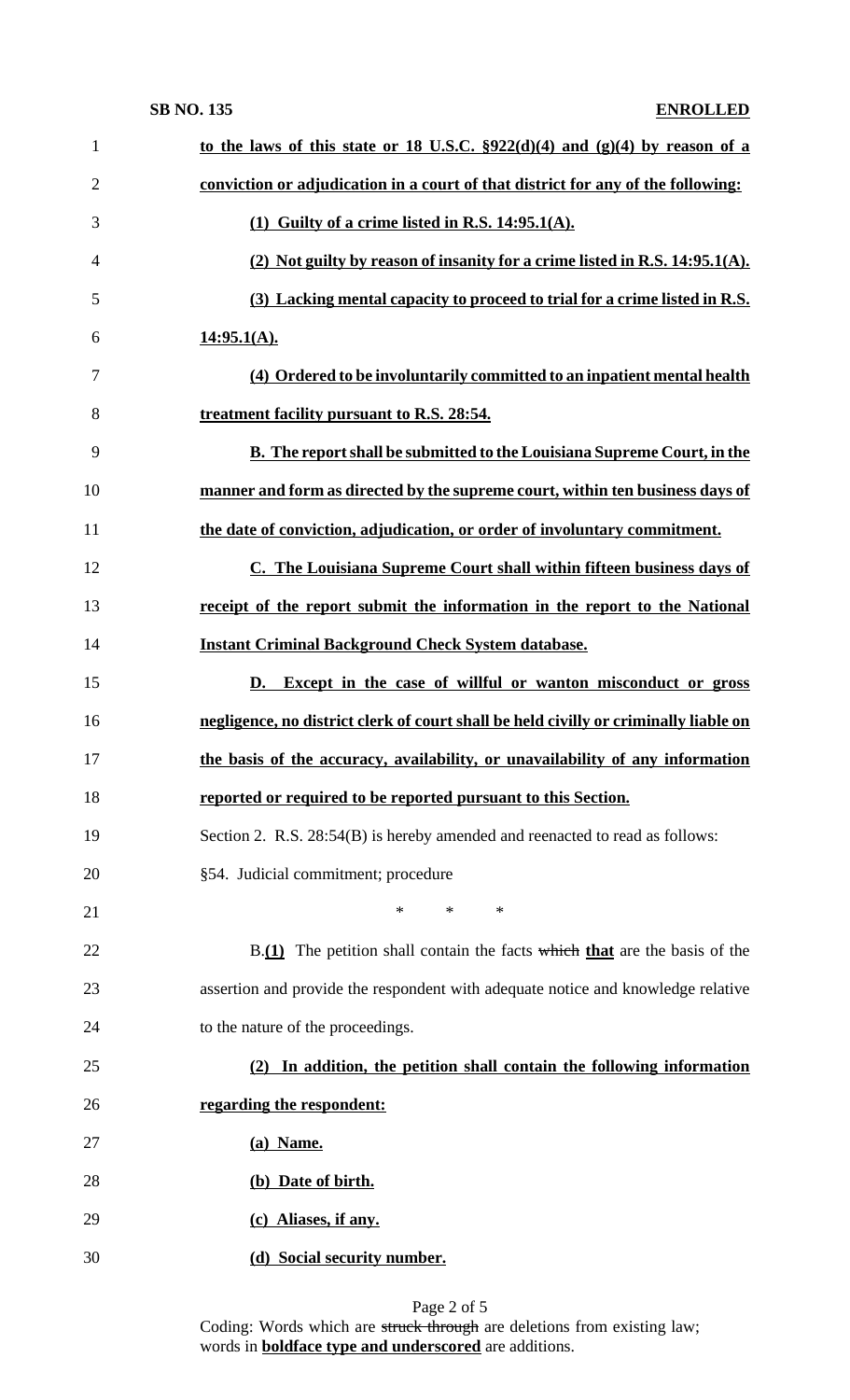| $\mathbf{1}$   | to the laws of this state or 18 U.S.C. $\S 922(d)(4)$ and $(g)(4)$ by reason of a    |
|----------------|--------------------------------------------------------------------------------------|
| $\overline{2}$ | conviction or adjudication in a court of that district for any of the following:     |
| 3              | (1) Guilty of a crime listed in R.S. $14:95.1(A)$ .                                  |
| $\overline{4}$ | (2) Not guilty by reason of insanity for a crime listed in R.S. 14:95.1(A).          |
| 5              | (3) Lacking mental capacity to proceed to trial for a crime listed in R.S.           |
| 6              | 14:95.1(A).                                                                          |
| 7              | (4) Ordered to be involuntarily committed to an inpatient mental health              |
| 8              | treatment facility pursuant to R.S. 28:54.                                           |
| 9              | <b>B.</b> The report shall be submitted to the Louisiana Supreme Court, in the       |
| 10             | manner and form as directed by the supreme court, within ten business days of        |
| 11             | the date of conviction, adjudication, or order of involuntary commitment.            |
| 12             | C. The Louisiana Supreme Court shall within fifteen business days of                 |
| 13             | receipt of the report submit the information in the report to the National           |
| 14             | <b>Instant Criminal Background Check System database.</b>                            |
| 15             | D. Except in the case of willful or wanton misconduct or gross                       |
|                |                                                                                      |
| 16             | negligence, no district clerk of court shall be held civilly or criminally liable on |
| 17             | the basis of the accuracy, availability, or unavailability of any information        |
| 18             | reported or required to be reported pursuant to this Section.                        |
| 19             | Section 2. R.S. 28:54(B) is hereby amended and reenacted to read as follows:         |
| 20             | §54. Judicial commitment; procedure                                                  |
| 21             | $\ast$<br>$\ast$<br>$\ast$                                                           |
| 22             | $B(1)$ The petition shall contain the facts which that are the basis of the          |
| 23             | assertion and provide the respondent with adequate notice and knowledge relative     |
| 24             | to the nature of the proceedings.                                                    |
| 25             | (2) In addition, the petition shall contain the following information                |
| 26             | regarding the respondent:                                                            |
| 27             | (a) Name.                                                                            |
| 28             | (b) Date of birth.                                                                   |
| 29             | (c) Aliases, if any.                                                                 |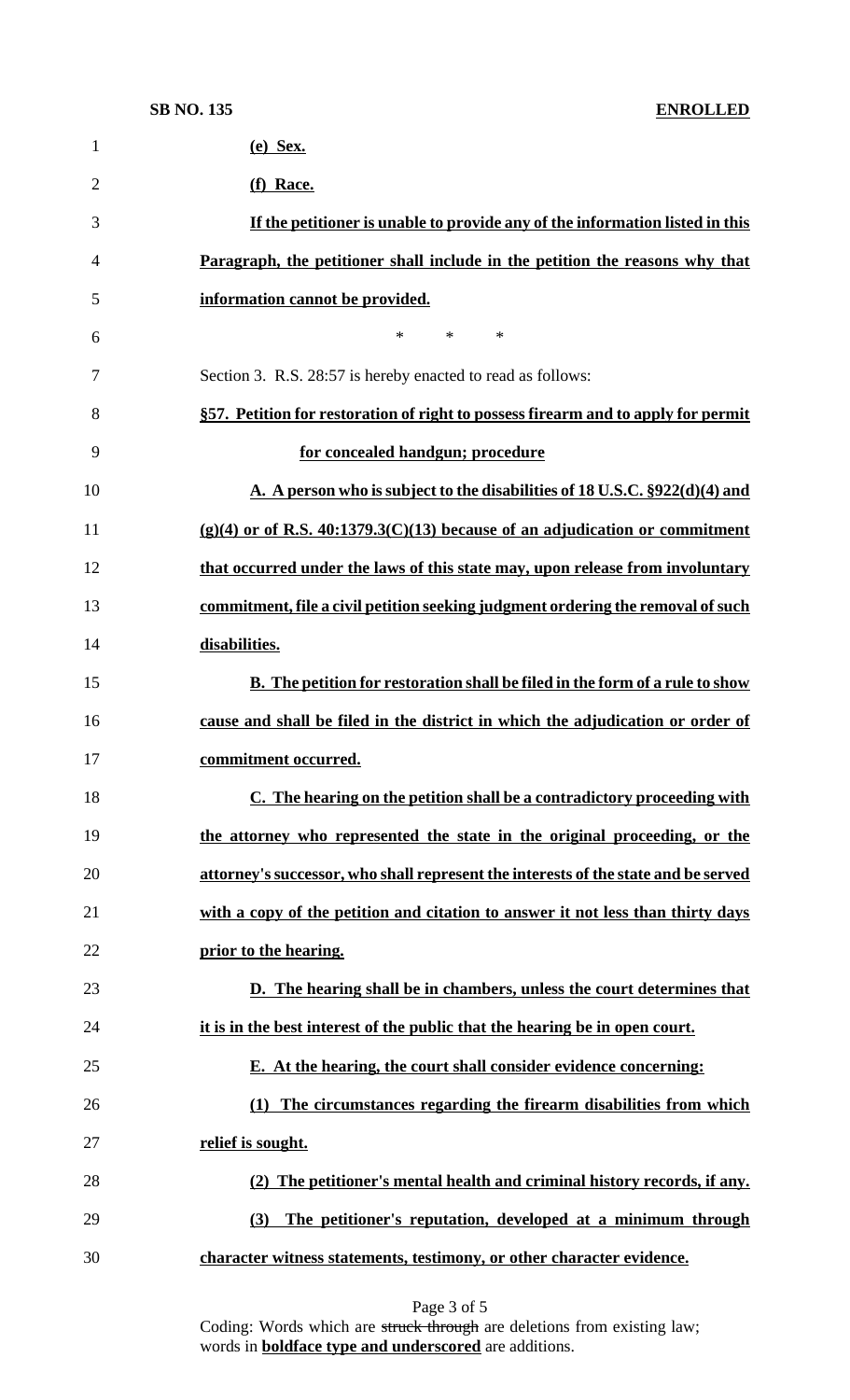| $\mathbf{1}$   | $(e)$ Sex.                                                                          |
|----------------|-------------------------------------------------------------------------------------|
| $\overline{2}$ | (f) Race.                                                                           |
| 3              | If the petitioner is unable to provide any of the information listed in this        |
| 4              | Paragraph, the petitioner shall include in the petition the reasons why that        |
| 5              | information cannot be provided.                                                     |
| 6              | $\ast$<br>$*$<br>∗                                                                  |
| 7              | Section 3. R.S. 28:57 is hereby enacted to read as follows:                         |
| 8              | §57. Petition for restoration of right to possess firearm and to apply for permit   |
| 9              | for concealed handgun; procedure                                                    |
| 10             | A. A person who is subject to the disabilities of 18 U.S.C. §922(d)(4) and          |
| 11             | $(g)(4)$ or of R.S. 40:1379.3(C)(13) because of an adjudication or commitment       |
| 12             | that occurred under the laws of this state may, upon release from involuntary       |
| 13             | commitment, file a civil petition seeking judgment ordering the removal of such     |
| 14             | disabilities.                                                                       |
| 15             | <b>B.</b> The petition for restoration shall be filed in the form of a rule to show |
| 16             | cause and shall be filed in the district in which the adjudication or order of      |
| 17             | <u>commitment occurred.</u>                                                         |
| 18             | C. The hearing on the petition shall be a contradictory proceeding with             |
| 19             | the attorney who represented the state in the original proceeding, or the           |
| 20             | attorney's successor, who shall represent the interests of the state and be served  |
| 21             | with a copy of the petition and citation to answer it not less than thirty days     |
| 22             | prior to the hearing.                                                               |
| 23             | D. The hearing shall be in chambers, unless the court determines that               |
| 24             | it is in the best interest of the public that the hearing be in open court.         |
| 25             | E. At the hearing, the court shall consider evidence concerning:                    |
| 26             | (1) The circumstances regarding the firearm disabilities from which                 |
| 27             | relief is sought.                                                                   |
| 28             | (2) The petitioner's mental health and criminal history records, if any.            |
| 29             | The petitioner's reputation, developed at a minimum through<br>(3)                  |
| 30             | character witness statements, testimony, or other character evidence.               |
|                |                                                                                     |

Page 3 of 5

Coding: Words which are struck through are deletions from existing law; words in **boldface type and underscored** are additions.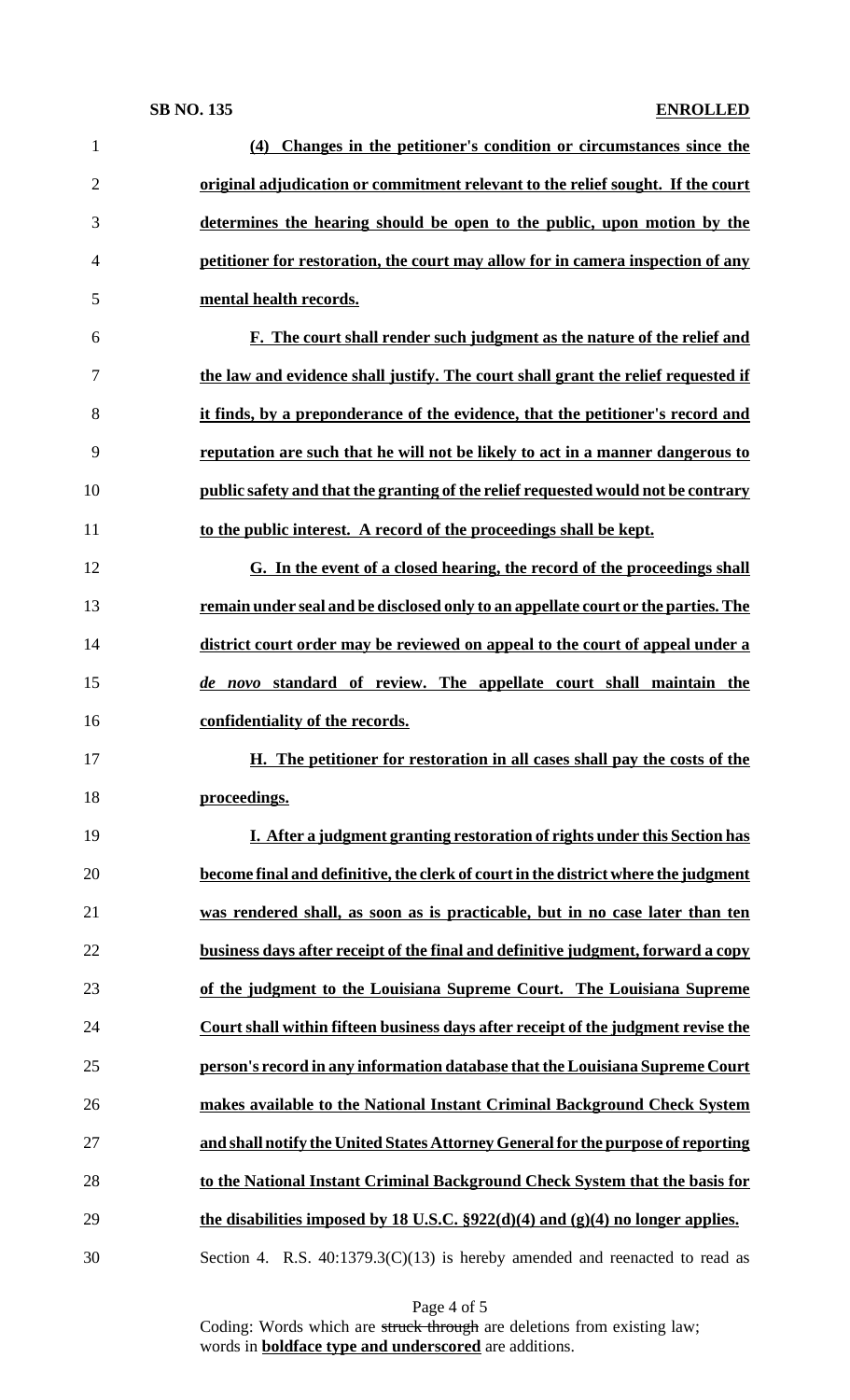# **SB NO. 135 ENROLLED**

| 1              | (4) Changes in the petitioner's condition or circumstances since the                 |
|----------------|--------------------------------------------------------------------------------------|
| $\overline{2}$ | original adjudication or commitment relevant to the relief sought. If the court      |
| 3              | determines the hearing should be open to the public, upon motion by the              |
| 4              | petitioner for restoration, the court may allow for in camera inspection of any      |
| 5              | mental health records.                                                               |
| 6              | F. The court shall render such judgment as the nature of the relief and              |
| 7              | the law and evidence shall justify. The court shall grant the relief requested if    |
| 8              | it finds, by a preponderance of the evidence, that the petitioner's record and       |
| 9              | reputation are such that he will not be likely to act in a manner dangerous to       |
| 10             | public safety and that the granting of the relief requested would not be contrary    |
| 11             | to the public interest. A record of the proceedings shall be kept.                   |
| 12             | G. In the event of a closed hearing, the record of the proceedings shall             |
| 13             | remain under seal and be disclosed only to an appellate court or the parties. The    |
| 14             | district court order may be reviewed on appeal to the court of appeal under a        |
| 15             | de novo standard of review. The appellate court shall maintain the                   |
| 16             | confidentiality of the records.                                                      |
| 17             | H. The petitioner for restoration in all cases shall pay the costs of the            |
| 18             | proceedings.                                                                         |
|                | I. After a judgment granting restoration of rights under this Section has            |
| 19             | become final and definitive, the clerk of court in the district where the judgment   |
| 20             |                                                                                      |
| 21             | was rendered shall, as soon as is practicable, but in no case later than ten         |
| 22             | business days after receipt of the final and definitive judgment, forward a copy     |
| 23             | of the judgment to the Louisiana Supreme Court. The Louisiana Supreme                |
| 24             | Court shall within fifteen business days after receipt of the judgment revise the    |
| 25             | person's record in any information database that the Louisiana Supreme Court         |
| 26             | makes available to the National Instant Criminal Background Check System             |
| 27             | and shall notify the United States Attorney General for the purpose of reporting     |
| 28             | to the National Instant Criminal Background Check System that the basis for          |
| 29             | the disabilities imposed by 18 U.S.C. $\S 922(d)(4)$ and $(g)(4)$ no longer applies. |

Page 4 of 5

Coding: Words which are struck through are deletions from existing law; words in **boldface type and underscored** are additions.